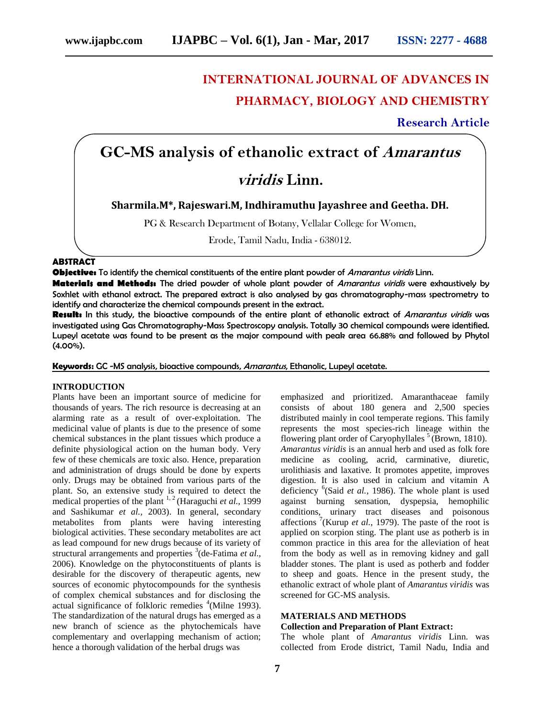## **INTERNATIONAL JOURNAL OF ADVANCES IN PHARMACY, BIOLOGY AND CHEMISTRY**

**Research Article**

# **GC-MS analysis of ethanolic extract of Amarantus**

### **viridis Linn.**

**Sharmila.M\*, Rajeswari.M, Indhiramuthu Jayashree and Geetha. DH.**

PG & Research Department of Botany, Vellalar College for Women,

Erode, Tamil Nadu, India - 638012.

#### **ABSTRACT**

**Objective:** To identify the chemical constituents of the entire plant powder of Amarantus viridis Linn.

**Materials and Methods:** The dried powder of whole plant powder of Amarantus viridis were exhaustively by Soxhlet with ethanol extract. The prepared extract is also analysed by gas chromatography-mass spectrometry to identify and characterize the chemical compounds present in the extract.

**Result:** In this study, the bioactive compounds of the entire plant of ethanolic extract of Amarantus viridis was investigated using Gas Chromatography-Mass Spectroscopy analysis. Totally 30 chemical compounds were identified. Lupeyl acetate was found to be present as the major compound with peak area 66.88% and followed by Phytol (4.00%).

**Keywords:** GC -MS analysis, bioactive compounds, Amarantus, Ethanolic, Lupeyl acetate.

#### **INTRODUCTION**

Plants have been an important source of medicine for thousands of years. The rich resource is decreasing at an alarming rate as a result of over-exploitation. The medicinal value of plants is due to the presence of some chemical substances in the plant tissues which produce a definite physiological action on the human body. Very few of these chemicals are toxic also. Hence, preparation and administration of drugs should be done by experts only. Drugs may be obtained from various parts of the plant. So, an extensive study is required to detect the medical properties of the plant <sup>1, 2</sup> (Haraguchi *et al.*, 1999) and Sashikumar *et al.,* 2003). In general, secondary metabolites from plants were having interesting biological activities. These secondary metabolites are act as lead compound for new drugs because of its variety of structural arrangements and properties <sup>3</sup> (de-Fatima *et al*., 2006). Knowledge on the phytoconstituents of plants is desirable for the discovery of therapeutic agents, new sources of economic phytocompounds for the synthesis of complex chemical substances and for disclosing the actual significance of folkloric remedies <sup>4</sup>(Milne 1993). The standardization of the natural drugs has emerged as a new branch of science as the phytochemicals have complementary and overlapping mechanism of action; hence a thorough validation of the herbal drugs was

emphasized and prioritized. Amaranthaceae family consists of about 180 genera and 2,500 species distributed mainly in cool temperate regions. This family represents the most species-rich lineage within the [flowering plant](http://en.wikipedia.org/wiki/Flowering_plant) [order](http://en.wikipedia.org/wiki/Order_(biology)) of [Caryophyllales](http://en.wikipedia.org/wiki/Caryophyllales)<sup>5</sup> (Brown, 1810). *Amarantus viridis* is an [annual](http://www.somemagneticislandplants.com.au/images/samples/annual.jpg) herb and used as folk fore medicine as cooling, acrid, carminative, diuretic, urolithiasis and laxative. It promotes appetite, improves digestion. It is also used in calcium and vitamin A deficiency <sup>6</sup>(Said *et al.*, 1986). The whole plant is used against burning sensation, dyspepsia, hemophilic conditions, urinary tract diseases and poisonous affections  $\frac{7}{1}$ (Kurup *et al.*, 1979). The paste of the root is applied on scorpion sting. The plant use as potherb is in common practice in this area for the alleviation of heat from the body as well as in removing kidney and gall bladder stones. The plant is used as potherb and fodder to sheep and goats. Hence in the present study, the ethanolic extract of whole plant of *Amarantus viridis* was screened for GC-MS analysis.

### **MATERIALS AND METHODS**

#### **Collection and Preparation of Plant Extract:**

The whole plant of *Amarantus viridis* Linn. was collected from Erode district, Tamil Nadu, India and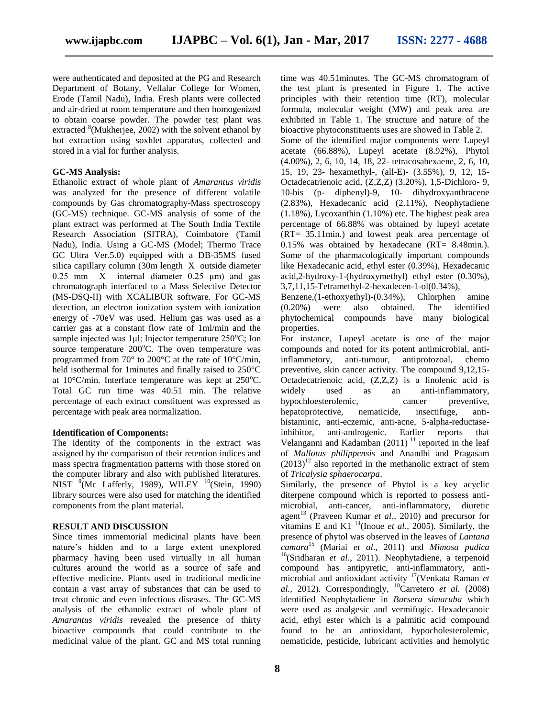were authenticated and deposited at the PG and Research Department of Botany, Vellalar College for Women, Erode (Tamil Nadu), India. Fresh plants were collected and air-dried at room temperature and then homogenized to obtain coarse powder. The powder test plant was extracted <sup>8</sup>(Mukherjee, 2002) with the solvent ethanol by hot extraction using soxhlet apparatus, collected and stored in a vial for further analysis.

#### **GC-MS Analysis:**

Ethanolic extract of whole plant of *Amarantus viridis*  was analyzed for the presence of different volatile compounds by Gas chromatography-Mass spectroscopy (GC-MS) technique. GC-MS analysis of some of the plant extract was performed at The South India Textile Research Association (SITRA), Coimbatore (Tamil Nadu), India. Using a GC-MS (Model; Thermo Trace GC Ultra Ver.5.0) equipped with a DB-35MS fused silica capillary column (30m length X outside diameter 0.25 mm X internal diameter 0.25 μm) and gas chromatograph interfaced to a Mass Selective Detector (MS-DSQ-II) with XCALIBUR software. For GC-MS detection, an electron ionization system with ionization energy of -70eV was used. Helium gas was used as a carrier gas at a constant flow rate of 1ml/min and the sample injected was  $1\mu l$ ; Injector temperature 250 $^{\circ}$ C; Ion source temperature  $200^{\circ}$ C. The oven temperature was programmed from 70° to 200°C at the rate of 10°C/min, held isothermal for 1minutes and finally raised to 250°C at  $10^{\circ}$ C/min. Interface temperature was kept at  $250^{\circ}$ C. Total GC run time was 40.51 min. The relative percentage of each extract constituent was expressed as percentage with peak area normalization.

#### **Identification of Components:**

The identity of the components in the extract was assigned by the comparison of their retention indices and mass spectra fragmentation patterns with those stored on the computer library and also with published literatures. NIST  $^{9}$ (Mc Lafferly, 1989), WILEY  $^{10}$ (Stein, 1990) library sources were also used for matching the identified components from the plant material.

#### **RESULT AND DISCUSSION**

Since times immemorial medicinal plants have been nature's hidden and to a large extent unexplored pharmacy having been used virtually in all human cultures around the world as a source of safe and effective medicine. Plants used in traditional medicine contain a vast array of substances that can be used to treat chronic and even infectious diseases. The GC-MS analysis of the ethanolic extract of whole plant of *Amarantus viridis* revealed the presence of thirty bioactive compounds that could contribute to the medicinal value of the plant. GC and MS total running time was 40.51minutes. The GC-MS chromatogram of the test plant is presented in Figure 1. The active principles with their retention time (RT), molecular formula, molecular weight (MW) and peak area are exhibited in Table 1. The structure and nature of the bioactive phytoconstituents uses are showed in Table 2.

Some of the identified major components were Lupeyl acetate (66.88%), Lupeyl acetate (8.92%), Phytol (4.00%), 2, 6, 10, 14, 18, 22- tetracosahexaene, 2, 6, 10, 15, 19, 23- hexamethyl-, (all-E)- (3.55%), 9, 12, 15- Octadecatrienoic acid, (Z,Z,Z) (3.20%), 1,5-Dichloro- 9, 10-bis (p- diphenyl)-9, 10- dihydroxyanthracene (2.83%), Hexadecanic acid (2.11%), Neophytadiene  $(1.18\%)$ , Lycoxanthin  $(1.10\%)$  etc. The highest peak area percentage of 66.88% was obtained by lupeyl acetate (RT= 35.11min.) and lowest peak area percentage of 0.15% was obtained by hexadecane (RT= 8.48min.). Some of the pharmacologically important compounds like Hexadecanic acid, ethyl ester (0.39%), Hexadecanic acid,2-hydroxy-1-(hydroxymethyl) ethyl ester (0.30%), 3,7,11,15-Tetramethyl-2-hexadecen-1-ol(0.34%),

Benzene,(1-ethoxyethyl)-(0.34%), Chlorphen amine (0.20%) were also obtained. The identified phytochemical compounds have many biological properties.

For instance, Lupeyl acetate is one of the major compounds and noted for its potent antimicrobial, antiinflammetory, anti-tumour, antiprotozoal, chemo preventive, skin cancer activity. The compound 9,12,15- Octadecatrienoic acid, (Z,Z,Z) is a linolenic acid is widely used as an anti-inflammatory, hypochloesterolemic, cancer preventive, hepatoprotective, nematicide, insectifuge, antihistaminic, anti-eczemic, anti-acne, 5-alpha-reductaseinhibitor, anti-androgenic. Earlier reports that Velanganni and Kadamban  $(2011)^{11}$  reported in the leaf of *Mallotus philippensis* and Anandhi and Pragasam  $(2013)^{12}$  also reported in the methanolic extract of stem of *Tricalysia sphaerocarpa*.

Similarly, the presence of Phytol is a key acyclic diterpene compound which is reported to possess antimicrobial, anti-cancer, anti-inflammatory, diuretic agent<sup>13</sup> (Praveen Kumar *et al.*, 2010) and precursor for vitamins E and K1 <sup>14</sup>(Inoue *et al*., 2005). Similarly, the presence of phytol was observed in the leaves of *Lantana camara* <sup>15</sup> (Mariai *et al*., 2011) and *Mimosa pudica* <sup>16</sup>(Sridharan *et al*., 2011). Neophytadiene, a terpenoid compound has antipyretic, anti-inflammatory, antimicrobial and antioxidant activity <sup>17</sup>(Venkata Raman *et al.,* 2012). Correspondingly, <sup>18</sup>Carretero *et al.* (2008) identified Neophytadiene in *Bursera simaruba* which were used as analgesic and vermifugic. Hexadecanoic acid, ethyl ester which is a palmitic acid compound found to be an antioxidant, hypocholesterolemic, nematicide, pesticide, lubricant activities and hemolytic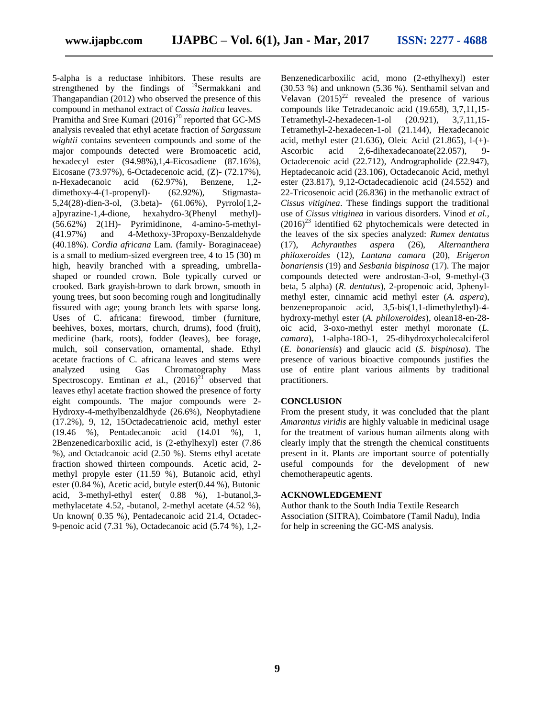5-alpha is a reductase inhibitors. These results are strengthened by the findings of <sup>19</sup>Sermakkani and Thangapandian (2012) who observed the presence of this compound in methanol extract of *Cassia italica* leaves.

Pramitha and Sree Kumari  $(2016)^{20}$  reported that GC-MS analysis revealed that ethyl acetate fraction of *Sargassum wightii* contains seventeen compounds and some of the major compounds detected were Bromoacetic acid, hexadecyl ester (94.98%),1,4-Eicosadiene (87.16%), Eicosane (73.97%), 6-Octadecenoic acid, (Z)- (72.17%), n-Hexadecanoic acid (62.97%), Benzene, 1,2 dimethoxy-4-(1-propenyl)- (62.92%), Stigmasta-5,24(28)-dien-3-ol, (3.beta)- (61.06%), Pyrrolo[1,2 a]pyrazine-1,4-dione, hexahydro-3(Phenyl methyl)- (56.62%) 2(1H)- Pyrimidinone, 4-amino-5-methyl- (41.97%) and 4-Methoxy-3Propoxy-Benzaldehyde (40.18%). *Cordia africana* Lam. (family- Boraginaceae) is a small to medium-sized evergreen tree, 4 to 15 (30) m high, heavily branched with a spreading, umbrellashaped or rounded crown. Bole typically curved or crooked. Bark grayish-brown to dark brown, smooth in young trees, but soon becoming rough and longitudinally fissured with age; young branch lets with sparse long. Uses of C. africana: firewood, timber (furniture, beehives, boxes, mortars, church, drums), food (fruit), medicine (bark, roots), fodder (leaves), bee forage, mulch, soil conservation, ornamental, shade. Ethyl acetate fractions of C. africana leaves and stems were analyzed using Gas Chromatography Mass Spectroscopy. Emtinan *et* al.,  $(2016)^{21}$  observed that leaves ethyl acetate fraction showed the presence of forty eight compounds. The major compounds were 2- Hydroxy-4-methylbenzaldhyde (26.6%), Neophytadiene (17.2%), 9, 12, 15Octadecatrienoic acid, methyl ester (19.46 %), Pentadecanoic acid (14.01 %), 1, 2Benzenedicarboxilic acid, is (2-ethylhexyl) ester (7.86 %), and Octadcanoic acid (2.50 %). Stems ethyl acetate fraction showed thirteen compounds. Acetic acid, 2 methyl propyle ester (11.59 %), Butanoic acid, ethyl ester (0.84 %), Acetic acid, butyle ester(0.44 %), Butonic acid, 3-methyl-ethyl ester( 0.88 %), 1-butanol,3 methylacetate 4.52, -butanol, 2-methyl acetate (4.52 %), Un known( 0.35 %), Pentadecanoic acid 21.4, Octadec-9-penoic acid (7.31 %), Octadecanoic acid (5.74 %), 1,2Benzenedicarboxilic acid, mono (2-ethylhexyl) ester (30.53 %) and unknown (5.36 %). Senthamil selvan and Velavan  $(2015)^{22}$  revealed the presence of various compounds like Tetradecanoic acid (19.658), 3,7,11,15- Tetramethyl-2-hexadecen-1-ol (20.921), 3,7,11,15- Tetramethyl-2-hexadecen-1-ol (21.144), Hexadecanoic acid, methyl ester (21.636), Oleic Acid (21.865), l-(+)- Ascorbic acid 2,6-dihexadecanoate(22.057), 9- Octadecenoic acid (22.712), Andrographolide (22.947), Heptadecanoic acid (23.106), Octadecanoic Acid, methyl ester (23.817), 9,12-Octadecadienoic acid (24.552) and 22-Tricosenoic acid (26.836) in the methanolic extract of *Cissus vitiginea*. These findings support the traditional use of *Cissus vitiginea* in various disorders. Vinod *et al.,*   $(2016)^{23}$  identified 62 phytochemicals were detected in the leaves of the six species analyzed: *Rumex dentatus* (17), *Achyranthes aspera* (26), *Alternanthera philoxeroides* (12), *Lantana camara* (20), *Erigeron bonariensis* (19) and *Sesbania bispinosa* (17). The major compounds detected were androstan-3-ol, 9-methyl-(3 beta, 5 alpha) (*R. dentatus*), 2-propenoic acid, 3phenylmethyl ester, cinnamic acid methyl ester (*A. aspera*), benzenepropanoic acid, 3,5-bis(1,1-dimethylethyl)-4 hydroxy-methyl ester (*A. philoxeroides*), olean18-en-28 oic acid, 3-oxo-methyl ester methyl moronate (*L. camara*), 1-alpha-18O-1, 25-dihydroxycholecalciferol (*E. bonariensis*) and glaucic acid (*S. bispinosa*). The presence of various bioactive compounds justifies the use of entire plant various ailments by traditional practitioners.

#### **CONCLUSION**

From the present study, it was concluded that the plant *Amarantus viridis* are highly valuable in medicinal usage for the treatment of various human ailments along with clearly imply that the strength the chemical constituents present in it. Plants are important source of potentially useful compounds for the development of new chemotherapeutic agents.

#### **ACKNOWLEDGEMENT**

Author thank to the South India Textile Research Association (SITRA), Coimbatore (Tamil Nadu), India for help in screening the GC-MS analysis.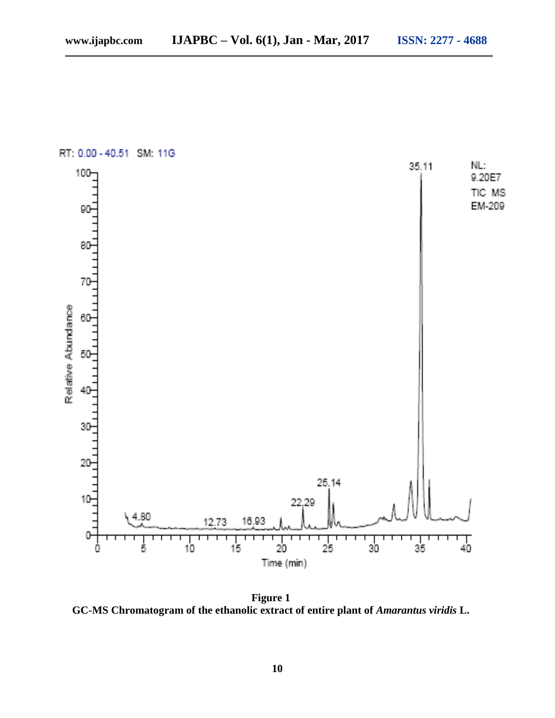



**Figure 1 GC-MS Chromatogram of the ethanolic extract of entire plant of** *Amarantus viridis* **L.**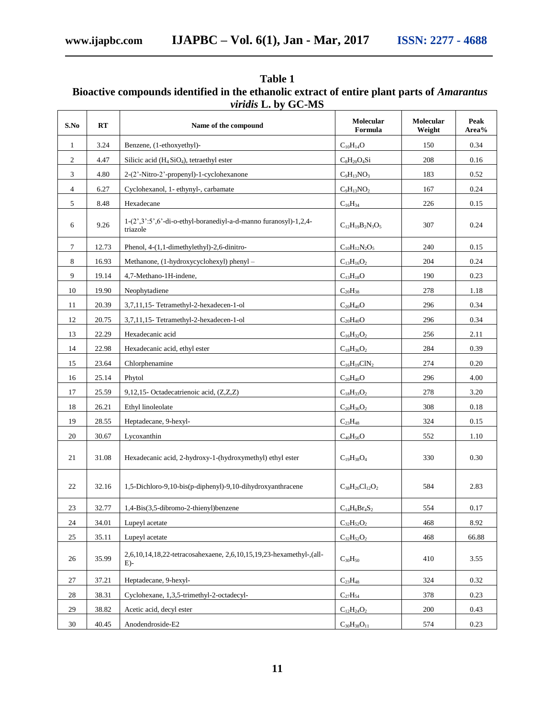| Table 1                                                                                           |
|---------------------------------------------------------------------------------------------------|
| Bioactive compounds identified in the ethanolic extract of entire plant parts of <i>Amarantus</i> |
| <i>viridis</i> L. by GC-MS                                                                        |

| S.No           | <b>RT</b> | Name of the compound                                                           | Molecular<br>Formula     | Molecular<br>Weight | Peak<br>Area% |
|----------------|-----------|--------------------------------------------------------------------------------|--------------------------|---------------------|---------------|
| 1              | 3.24      | Benzene, (1-ethoxyethyl)-                                                      | $C_{10}H_{14}O$          | 150                 | 0.34          |
| $\overline{c}$ | 4.47      | Silicic acid $(H_4SiO_4)$ , tetraethyl ester                                   | $C_8H_{20}O_4Si$         | 208                 | 0.16          |
| 3              | 4.80      | 2-(2'-Nitro-2'-propenyl)-1-cyclohexanone                                       | $C_9H_{13}NO_3$          | 183                 | 0.52          |
| 4              | 6.27      | Cyclohexanol, 1- ethynyl-, carbamate                                           | $C_9H_{13}NO_2$          | 167                 | 0.24          |
| 5              | 8.48      | Hexadecane                                                                     | $C_{16}H_{34}$           | 226                 | 0.15          |
| 6              | 9.26      | $1-(2',3';5',6'-di-o-ethyl-boranediyl-a-d-manno furanosyl)-1,2,4-$<br>triazole | $C_{12}H_{19}B_2N_3O_5$  | 307                 | 0.24          |
| 7              | 12.73     | Phenol, 4-(1,1-dimethylethyl)-2,6-dinitro-                                     | $C_{10}H_{12}N_2O_5$     | 240                 | 0.15          |
| 8              | 16.93     | Methanone, (1-hydroxycyclohexyl) phenyl -                                      | $C_{13}H_{16}O_2$        | 204                 | 0.24          |
| 9              | 19.14     | 4,7-Methano-1H-indene,                                                         | $C_{13}H_{18}O$          | 190                 | 0.23          |
| 10             | 19.90     | Neophytadiene                                                                  | $C_{20}H_{38}$           | 278                 | 1.18          |
| 11             | 20.39     | 3,7,11,15-Tetramethyl-2-hexadecen-1-ol                                         | $C_{20}H_{40}O$          | 296                 | 0.34          |
| 12             | 20.75     | 3,7,11,15-Tetramethyl-2-hexadecen-1-ol                                         | $C_{20}H_{40}O$          | 296                 | 0.34          |
| 13             | 22.29     | Hexadecanic acid                                                               | $C_{16}H_{32}O_2$        | 256                 | 2.11          |
| 14             | 22.98     | Hexadecanic acid, ethyl ester                                                  | $C_{18}H_{36}O_2$        | 284                 | 0.39          |
| 15             | 23.64     | Chlorphenamine                                                                 | $C_{16}H_{19}C1N_2$      | 274                 | 0.20          |
| 16             | 25.14     | Phytol                                                                         | $C_{20}H_{40}O$          | 296                 | 4.00          |
| 17             | 25.59     | 9,12,15- Octadecatrienoic acid, (Z,Z,Z)                                        | $C_{18}H_{33}O_2$        | 278                 | 3.20          |
| 18             | 26.21     | Ethyl linoleolate                                                              | $C_{20}H_{36}O_2$        | 308                 | 0.18          |
| 19             | 28.55     | Heptadecane, 9-hexyl-                                                          | $C_{23}H_{48}$           | 324                 | 0.15          |
| 20             | 30.67     | Lycoxanthin                                                                    | $C_{40}H_{56}O$          | 552                 | 1.10          |
| 21             | 31.08     | Hexadecanic acid, 2-hydroxy-1-(hydroxymethyl) ethyl ester                      | $C_{19}H_{38}O_4$        | 330                 | 0.30          |
| 22             | 32.16     | 1,5-Dichloro-9,10-bis(p-diphenyl)-9,10-dihydroxyanthracene                     | $C_{38}H_{26}Cl_{12}O_2$ | 584                 | 2.83          |
| 23             | 32.77     | 1,4-Bis(3,5-dibromo-2-thienyl)benzene                                          | $C_{14}H_6Br_4S_2$       | 554                 | 0.17          |
| $24\,$         | 34.01     | Lupeyl acetate                                                                 | $C_{32}H_{52}O_2$        | 468                 | 8.92          |
| 25             | 35.11     | Lupeyl acetate                                                                 | $C_{32}H_{52}O_2$        | 468                 | 66.88         |
| 26             | 35.99     | 2,6,10,14,18,22-tetracosahexaene, 2,6,10,15,19,23-hexamethyl-,(all-<br>$E$ )-  | $C_{30}H_{50}$           | 410                 | 3.55          |
| 27             | 37.21     | Heptadecane, 9-hexyl-                                                          | $C_{23}H_{48}$           | 324                 | 0.32          |
| 28             | 38.31     | Cyclohexane, 1,3,5-trimethyl-2-octadecyl-                                      | $C_{27}H_{54}$           | 378                 | 0.23          |
| 29             | 38.82     | Acetic acid, decyl ester                                                       | $C_{12}H_{24}O_2$        | 200                 | 0.43          |
| 30             | 40.45     | Anodendroside-E2                                                               | $C_{30}H_{38}O_{11}$     | 574                 | 0.23          |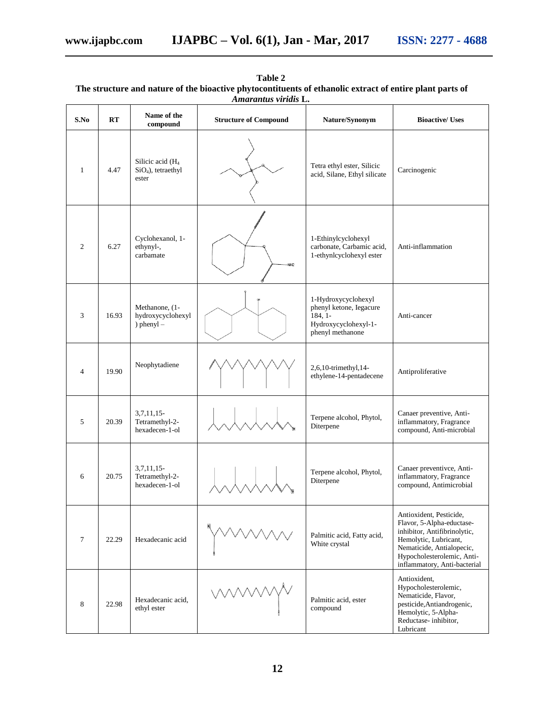| Amarantus viridis L. |       |                                                      |                              |                                                                                                         |                                                                                                                                                                                                          |
|----------------------|-------|------------------------------------------------------|------------------------------|---------------------------------------------------------------------------------------------------------|----------------------------------------------------------------------------------------------------------------------------------------------------------------------------------------------------------|
| S.No                 | RT    | Name of the<br>compound                              | <b>Structure of Compound</b> | Nature/Synonym                                                                                          | <b>Bioactive/ Uses</b>                                                                                                                                                                                   |
| $\mathbf{1}$         | 4.47  | Silicic acid $(H4)$<br>$SiO4$ ), tetraethyl<br>ester |                              | Tetra ethyl ester, Silicic<br>acid, Silane, Ethyl silicate                                              | Carcinogenic                                                                                                                                                                                             |
| $\overline{c}$       | 6.27  | Cyclohexanol, 1-<br>ethynyl-,<br>carbamate           | NH <sub>2</sub>              | 1-Ethinylcyclohexyl<br>carbonate, Carbamic acid,<br>1-ethynlcyclohexyl ester                            | Anti-inflammation                                                                                                                                                                                        |
| 3                    | 16.93 | Methanone, (1-<br>hydroxycyclohexyl<br>) phenyl $-$  |                              | 1-Hydroxycyclohexyl<br>phenyl ketone, Iegacure<br>$184.1 -$<br>Hydroxycyclohexyl-1-<br>phenyl methanone | Anti-cancer                                                                                                                                                                                              |
| $\overline{4}$       | 19.90 | Neophytadiene                                        |                              | 2,6,10-trimethyl,14-<br>ethylene-14-pentadecene                                                         | Antiproliferative                                                                                                                                                                                        |
| 5                    | 20.39 | $3,7,11,15-$<br>Tetramethyl-2-<br>hexadecen-1-ol     |                              | Terpene alcohol, Phytol,<br>Diterpene                                                                   | Canaer preventive, Anti-<br>inflammatory, Fragrance<br>compound, Anti-microbial                                                                                                                          |
| 6                    | 20.75 | $3,7,11,15-$<br>Tetramethyl-2-<br>hexadecen-1-ol     |                              | Terpene alcohol, Phytol,<br>Diterpene                                                                   | Canaer preventivce, Anti-<br>inflammatory, Fragrance<br>compound, Antimicrobial                                                                                                                          |
| $\tau$               | 22.29 | Hexadecanic acid                                     |                              | Palmitic acid, Fatty acid,<br>White crystal                                                             | Antioxident, Pesticide,<br>Flavor, 5-Alpha-eductase-<br>inhibitor, Antifibrinolytic,<br>Hemolytic, Lubricant,<br>Nematicide, Antialopecic,<br>Hypocholesterolemic, Anti-<br>inflammatory, Anti-bacterial |
| 8                    | 22.98 | Hexadecanic acid,<br>ethyl ester                     |                              | Palmitic acid, ester<br>compound                                                                        | Antioxident,<br>Hypocholesterolemic,<br>Nematicide, Flavor,<br>pesticide, Antiandrogenic,<br>Hemolytic, 5-Alpha-<br>Reductase-inhibitor,<br>Lubricant                                                    |

**Table 2 The structure and nature of the bioactive phytocontituents of ethanolic extract of entire plant parts of**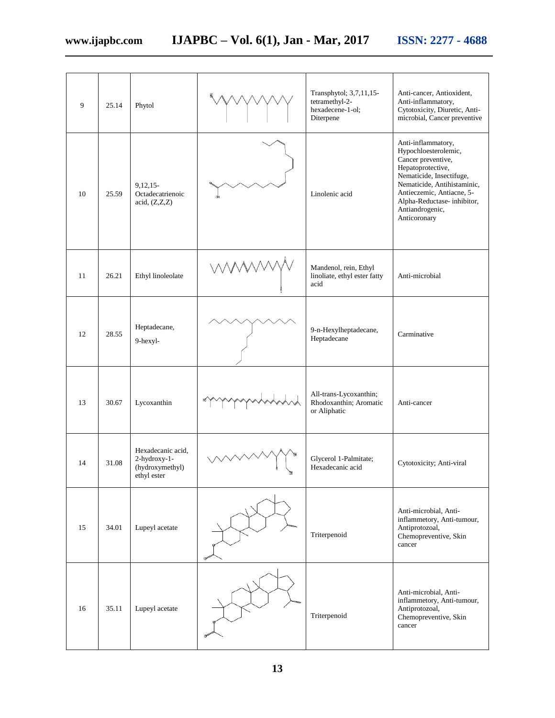| 9  | 25.14 | Phytol                                                              | Transphytol; 3,7,11,15-<br>tetramethyl-2-<br>hexadecene-1-ol;<br>Diterpene | Anti-cancer, Antioxident,<br>Anti-inflammatory,<br>Cytotoxicity, Diuretic, Anti-<br>microbial, Cancer preventive                                                                                                                               |
|----|-------|---------------------------------------------------------------------|----------------------------------------------------------------------------|------------------------------------------------------------------------------------------------------------------------------------------------------------------------------------------------------------------------------------------------|
| 10 | 25.59 | $9.12.15 -$<br>Octadecatrienoic<br>acid, (Z,Z,Z)                    | Linolenic acid                                                             | Anti-inflammatory,<br>Hypochloesterolemic,<br>Cancer preventive,<br>Hepatoprotective,<br>Nematicide, Insectifuge,<br>Nematicide, Antihistaminic,<br>Antieczemic, Antiacne, 5-<br>Alpha-Reductase-inhibitor,<br>Antiandrogenic,<br>Anticoronary |
| 11 | 26.21 | Ethyl linoleolate                                                   | Mandenol, rein, Ethyl<br>linoliate, ethyl ester fatty<br>acid              | Anti-microbial                                                                                                                                                                                                                                 |
| 12 | 28.55 | Heptadecane,<br>9-hexyl-                                            | 9-n-Hexylheptadecane,<br>Heptadecane                                       | Carminative                                                                                                                                                                                                                                    |
| 13 | 30.67 | Lycoxanthin                                                         | All-trans-Lycoxanthin;<br>Rhodoxanthin; Aromatic<br>or Aliphatic           | Anti-cancer                                                                                                                                                                                                                                    |
| 14 | 31.08 | Hexadecanic acid,<br>2-hydroxy-1-<br>(hydroxymethyl)<br>ethyl ester | Glycerol 1-Palmitate;<br>Hexadecanic acid                                  | Cytotoxicity; Anti-viral                                                                                                                                                                                                                       |
| 15 | 34.01 | Lupeyl acetate                                                      | Triterpenoid                                                               | Anti-microbial, Anti-<br>inflammetory, Anti-tumour,<br>Antiprotozoal,<br>Chemopreventive, Skin<br>cancer                                                                                                                                       |
| 16 | 35.11 | Lupeyl acetate                                                      | Triterpenoid                                                               | Anti-microbial, Anti-<br>inflammetory, Anti-tumour,<br>Antiprotozoal,<br>Chemopreventive, Skin<br>cancer                                                                                                                                       |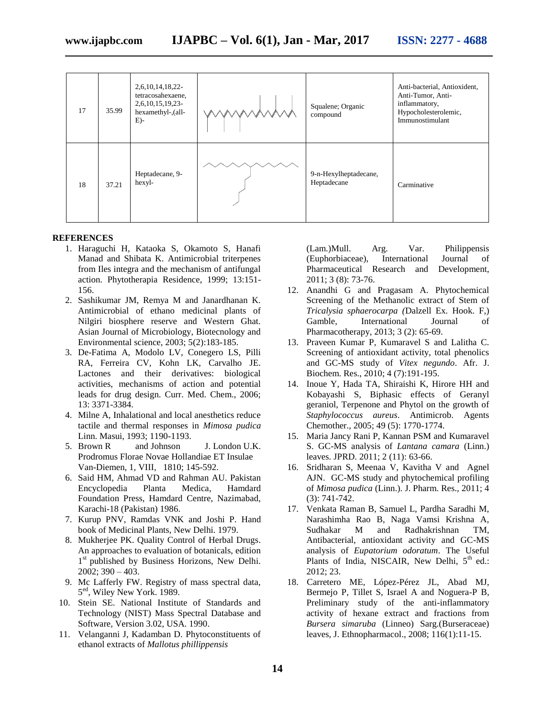| 17 | 35.99 | 2,6,10,14,18,22-<br>tetracosahexaene,<br>2,6,10,15,19,23-<br>hexamethyl-,(all-<br>$E$ )- | Squalene; Organic<br>compound        | Anti-bacterial, Antioxident,<br>Anti-Tumor, Anti-<br>inflammatory,<br>Hypocholesterolemic,<br>Immunostimulant |
|----|-------|------------------------------------------------------------------------------------------|--------------------------------------|---------------------------------------------------------------------------------------------------------------|
| 18 | 37.21 | Heptadecane, 9-<br>hexyl-                                                                | 9-n-Hexylheptadecane,<br>Heptadecane | Carminative                                                                                                   |

#### **REFERENCES**

- 1. Haraguchi H, Kataoka S, Okamoto S, Hanafi Manad and Shibata K. Antimicrobial triterpenes from Iles integra and the mechanism of antifungal action. Phytotherapia Residence, 1999; 13:151- 156.
- 2. Sashikumar JM, Remya M and Janardhanan K. Antimicrobial of ethano medicinal plants of Nilgiri biosphere reserve and Western Ghat. Asian Journal of Microbiology, Biotecnology and Environmental science, 2003; 5(2):183-185.
- 3. De-Fatima A, Modolo LV, Conegero LS, Pilli RA, Ferreira CV, Kohn LK, Carvalho JE. Lactones and their derivatives: biological activities, mechanisms of action and potential leads for drug design. Curr. Med. Chem., 2006; 13: 3371-3384.
- 4. Milne A, Inhalational and local anesthetics reduce tactile and thermal responses in *Mimosa pudica*  Linn. Masui, 1993; 1190-1193.
- 5. Brown R and Johnson J. London U.K. Prodromus Florae Novae Hollandiae ET Insulae Van-Diemen, 1, VIII, 1810; 145-592.
- 6. Said HM, Ahmad VD and Rahman AU. Pakistan Encyclopedia Planta Medica, Hamdard Foundation Press, Hamdard Centre, Nazimabad, Karachi-18 (Pakistan) 1986.
- 7. Kurup PNV, Ramdas VNK and Joshi P. Hand book of Medicinal Plants, New Delhi. 1979.
- 8. Mukherjee PK. Quality Control of Herbal Drugs. An approaches to evaluation of botanicals, edition 1<sup>st</sup> published by Business Horizons, New Delhi. 2002; 390 – 403.
- 9. Mc Lafferly FW. Registry of mass spectral data, 5 ed, Wiley New York. 1989.
- 10. Stein SE. National Institute of Standards and Technology (NIST) Mass Spectral Database and Software, Version 3.02, USA. 1990.
- 11. Velanganni J, Kadamban D. Phytoconstituents of ethanol extracts of *Mallotus phillippensis*

(Lam.)Mull. Arg. Var. Philippensis (Euphorbiaceae), International Journal of Pharmaceutical Research and Development, 2011; 3 (8): 73-76.

- 12. Anandhi G and Pragasam A. Phytochemical Screening of the Methanolic extract of Stem of *Tricalysia sphaerocarpa (*Dalzell Ex. Hook. F,) Gamble, International Journal of Pharmacotherapy, 2013; 3 (2): 65-69.
- 13. Praveen Kumar P, Kumaravel S and Lalitha C. Screening of antioxidant activity, total phenolics and GC-MS study of *Vitex negundo*. Afr. J. Biochem. Res., 2010; 4 (7):191-195.
- 14. Inoue Y, Hada TA, Shiraishi K, Hirore HH and Kobayashi S, Biphasic effects of Geranyl geraniol, Terpenone and Phytol on the growth of *Staphylococcus aureus*. Antimicrob. Agents Chemother., 2005; 49 (5): 1770-1774.
- 15. Maria Jancy Rani P, Kannan PSM and Kumaravel S. GC-MS analysis of *Lantana camara* (Linn.) leaves. JPRD. 2011; 2 (11): 63-66.
- 16. Sridharan S, Meenaa V, Kavitha V and Agnel AJN. GC-MS study and phytochemical profiling of *Mimosa pudica* (Linn.). J. Pharm. Res., 2011; 4 (3): 741-742.
- 17. Venkata Raman B, Samuel L, Pardha Saradhi M, Narashimha Rao B, Naga Vamsi Krishna A, Sudhakar M and Radhakrishnan TM, Antibacterial, antioxidant activity and GC-MS analysis of *Eupatorium odoratum*. The Useful Plants of India, NISCAIR, New Delhi, 5<sup>th</sup> ed.: 2012; 23.
- 18. Carretero ME, López-Pérez JL, Abad MJ, Bermejo P, Tillet S, Israel A and Noguera-P B, Preliminary study of the anti-inflammatory activity of hexane extract and fractions from *Bursera simaruba* (Linneo) Sarg.(Burseraceae) leaves, J. Ethnopharmacol., 2008; 116(1):11-15.